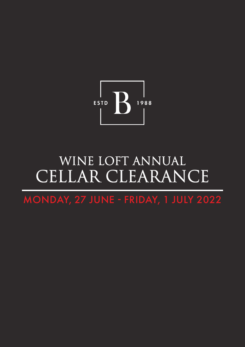

# WINE LOFT ANNUAL CELLAR CLEARANCE

MONDAY, 27 JUNE - FRIDAY, 1 JULY 2022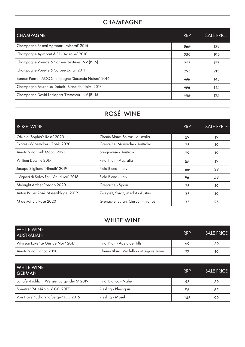## **CHAMPAGNE**

| <b>CHAMPAGNE</b>                                  | <b>RRP</b> | <b>SALE PRICE</b> |
|---------------------------------------------------|------------|-------------------|
| Champagne Pascal Agrapart 'Mineral' 2015          | 265        | 189               |
| Champagne Agrapart & Fils 'Avizoise' 2010         | 289        | 199               |
| Champagne Vouette & Sorbee 'Textures' NV (B.16)   | 225        | 175               |
| Champagne Vouette & Sorbee Extrait 2011           | 295        | 215               |
| Bonnet-Ponson AOC Champagne 'Seconde Nature' 2016 | $+75$      | 145               |
| Champagne Fournaise-Dubois 'Blanc de Noirs' 2013  | $+75$      | 145               |
| Champagne David Leclapart 'L'Amateur' NV (B. 15)  | $+55$      | 125               |
|                                                   |            |                   |

## ROSÉ WINE

| ROSÉ WINE                                 |                                    | <b>RRP</b> | <b>SALE PRICE</b> |
|-------------------------------------------|------------------------------------|------------|-------------------|
| Ohkela 'Sophia's Rosé' 2020               | Chenin Blanc, Shiraz - Australia   | 29         | 19                |
| Express Winemakers 'Rosé' 2020            | Grenache, Mouvedre - Australia     | 25         | 19                |
| Amato Vino 'Pink Moon' 2021               | Sangiovese - Australia             | 29         | 19                |
| William Downie 2017                       | Pinot Noir - Australia             | 27         | 19                |
| Jacopo Stigliano 'Hireath' 2019           | Field Blend - Italy                | 65         | 39                |
| l Vigneri di Salvo Foti 'Vinudilice' 2016 | Field Blend - Italy                | 95         | 59                |
| Midnight Amber Rosado 2020                | Grenache - Spain                   | 25         | 19                |
| Anton Bauer Rosé 'Assemblage' 2019        | Zweigelt, Syrah, Merlot - Austria  | 35         | 19                |
| M de Minuty Rosé 2020                     | Grenache, Syrah, Cinsault - France | 35         | 25                |

#### WHITE WINE

| <b>WHITE WINE</b><br><b>AUSTRALIAN</b> |                                         | <b>RRP</b> | <b>SALE PRICE</b> |
|----------------------------------------|-----------------------------------------|------------|-------------------|
| Whisson Lake 'Le Gris de Noir' 2017    | Pinot Noir - Adelaide Hills             | 69         | 39                |
| Amato Vino Bianco 2020                 | Chenin Blanc, Verdelho - Margaret River | 27         | 19                |
|                                        |                                         |            |                   |

| <b>WHITE WINE</b><br><b>GERMAN</b>          |                     | <b>RRP</b> | <b>SALE PRICE</b> |
|---------------------------------------------|---------------------|------------|-------------------|
| Schafer-Frohlich 'Weisser Burgunder S' 2019 | Pinot Bianco - Nahe | 55         | 39                |
| Spreitzer 'St. Nikolaus' GG 2017            | Riesling - Rheingau | 95         | 65                |
| Von Hovel 'Scharzhofberger' GG 2016         | Riesling - Mosel    | $+45$      | 99                |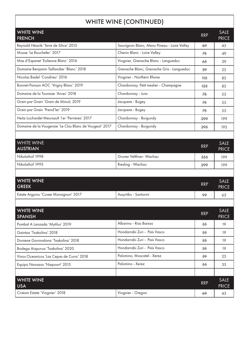#### WHITE WINE (CONTINUED)

 $\overline{\phantom{a}}$ 

| WHIIE WINE (CONTINUED)                                  |                                             |                |                             |  |
|---------------------------------------------------------|---------------------------------------------|----------------|-----------------------------|--|
| <b>WHITE WINE</b><br><b>FRENCH</b>                      |                                             | <b>RRP</b>     | <b>SALE</b><br><b>PRICE</b> |  |
| Reynald Héaulé 'Terre de Silice' 2015                   | Sauvignon Blanc, Menu Pineau - Loire Valley | 69             | 45                          |  |
| Mosse 'Le Rouchefer' 2017                               | Chenin Blanc - Loire Valley                 | 75             | 49                          |  |
| Mas d'Espanet 'Eolienne Blanc' 2016                     | Viognier, Grenache Blanc - Languedoc        | 65             | 39                          |  |
| Domaine Benjamin Taillandier 'Blanc' 2018               | Grenache Blanc, Grenache Gris - Languedoc   | 39             | 25                          |  |
| Nicolas Badel 'Condrieu' 2016                           | Viognier - Northern Rhone                   | H <sub>5</sub> | 85                          |  |
| Bonnet-Ponson AOC 'Vrigny Blanc' 2019                   | Chardonnay, Petit meslier - Champagne       | $+25$          | 85                          |  |
| Domaine de la Touraize 'Arces' 2018                     | Chardonnay - Jura                           | 75             | 55                          |  |
| Grain par Grain 'Grain de Minuit; 2019                  | Jacquere - Bugey                            | 75             | 55                          |  |
| Grain par Grain 'Prend'ler' 2019                        | Jacquere - Bugey                            | 75             | 55                          |  |
| Heitz-Lochardet Meursault 1 er 'Perrieres' 2017         | Chardonnay - Burgundy                       | 299            | 199                         |  |
| Domaine de la Vougeraie 'Le Clos Blanc de Vougeot' 2017 | Chardonnay - Burgundy                       | 295            | 195                         |  |
|                                                         |                                             |                |                             |  |
| <b>WHITE WINE</b><br><b>AUSTRIAN</b>                    |                                             | <b>RRP</b>     | <b>SALE</b><br><b>PRICE</b> |  |
| Nikolaihof 1998                                         | Gruner Veltliner- Wachau                    | 355            | 199                         |  |
| Nikolaihof 1993                                         | Riesling - Wachau                           | 299            | 199                         |  |
|                                                         |                                             |                |                             |  |
| <b>WHITE WINE</b><br><b>GREEK</b>                       |                                             | <b>RRP</b>     | <b>SALE</b><br><b>PRICE</b> |  |
| Estate Argyros 'Cuvee Monsignori' 2017                  | Assyrtiko - Santorini                       | 99             | 65                          |  |
|                                                         |                                             |                |                             |  |
| <b>WHITE WINE</b><br><b>SPANISH</b>                     |                                             | <b>RRP</b>     | <b>SALE</b><br><b>PRICE</b> |  |
| Pombal A Lanzada 'Mytilus' 2019                         | Albarino - Rias Baixas                      | 35             | 19                          |  |
| Gaintza 'Txakolina' 2018                                | Hondarrabi Zuri - País Vasco                | 35             | 19                          |  |
| Doniene Gorrondona 'Txakolina' 2018                     | Hondarrabi Zuri - País Vasco                | 35             | 19                          |  |
| Bodega Aizpurua 'Txakolina' 2020                        | Hondarrabi Zuri - País Vasco                | 35             | 19                          |  |
| Vinos Oceanicos 'Las Cepas de Curro' 2018               | Palomino, Moscatel - Xerez                  | 39             | 25                          |  |
| Equipo Navazos 'Niepoort' 2015                          | Palomino - Xerez                            | 55             | 35                          |  |
|                                                         |                                             |                |                             |  |
| <b>WHITE WINE</b><br><b>USA</b>                         |                                             | <b>RRP</b>     | <b>SALE</b><br><b>PRICE</b> |  |
| Cristom Estate 'Viognier' 2018                          | Viognier - Oregon                           | 69             | 45                          |  |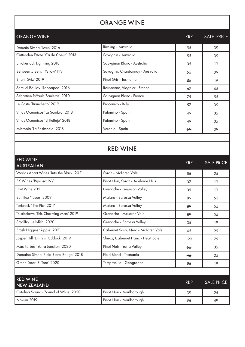### ORANGE WINE

| <b>ORANGE WINE</b>                    |                                  | <b>RRP</b> | <b>SALE PRICE</b> |
|---------------------------------------|----------------------------------|------------|-------------------|
| Domain Simha 'Lotus' 2016             | Riesling - Australia             | 55         | 39                |
| Crittenden Estate 'Cri de Coeur' 2013 | Savagnin - Australia             | 55         | 39                |
| Smokestack Lightning 2018             | Sauvginon Blanc - Australia      | 35         | 19                |
| Between 5 Bells 'Yellow' NV           | Savagnin, Chardonnay - Australia | 55         | 39                |
| Brian 'Griz' 2019                     | Pinot Gris - Tasmania            | 25         | 19                |
| Samuel Boulay 'Rappapeo' 2016         | Roussanne, Viognier - France     | 67         | 45                |
| Sebastien Riffault 'Sauletas' 2010    | Sauvignon Blanc - France         | 75         | 55                |
| Le Coste 'Bianchetto' 2019            | Procanico - Italy                | 57         | 39                |
| Vinos Oceanicos 'La Sombra' 2018      | Palomino - Spain                 | 49         | 35                |
| Vinos Oceanicos 'El Reflejo' 2018     | Palomino - Spain                 | 49         | 35                |
| Microbio 'La Resitencia' 2018         | Verdejo - Spain                  | 59         | 39                |
|                                       |                                  |            |                   |

#### RED WINE

| <b>RED WINE</b><br><b>AUSTRALIAN</b>     |                                    | <b>RRP</b> | <b>SALE PRICE</b> |
|------------------------------------------|------------------------------------|------------|-------------------|
| Worlds Apart Wines 'Into the Black' 2021 | Syrah - McLaren Vale               | 35         | 25                |
| <b>BK Wines 'Ripasso' NV</b>             | Pinot Noir, Syrah - Adelaide Hills | 37         | 19                |
| Trait Wine 2021                          | Grenache - Ferguson Valley         | 35         | 19                |
| Spinifex 'Tabor' 2009                    | Mataro - Barossa Valley            | 89         | 55                |
| Torbreck ' The Pict' 2017                | Mataro - Barossa Valley            | 89         | 55                |
| Thistledown 'This Charming Man' 2019     | Grenache - McLaren Vale            | 89         | 55                |
| Smallfry 'Jellyfish' 2020                | Grenache - Barossa Valley          | 35         | 19                |
| Brash Higgins 'Ripple' 2021              | Cabernet Sauv, Nero - McLaren Vale | 45         | 29                |
| Jasper Hill 'Emily's Paddock' 2019       | Shiraz, Cabernet Franc - Heathcote | $+29$      | 75                |
| Mac Forbes 'Yarra Junction' 2020         | Pinot Noir - Yarra Valley          | 55         | 35                |
| Domaine Simha 'Field Blend Rouge' 2018   | Field Blend - Tasmania             | 45         | 25                |
| Green Door 'El Toro' 2020                | Tempranillo - Geographe            | 25         | 19                |
|                                          |                                    |            |                   |
| <b>RED WINE</b><br><b>NEW ZEALAND</b>    |                                    | <b>RRP</b> | <b>SALE PRICE</b> |
| Catalina Sounds 'Sound of White' 2020    | Pinot Noir - Marlborough           | 39         | 25                |
| <b>Novum 2019</b>                        | Pinot Noir - Marlborough           | 75         | 49                |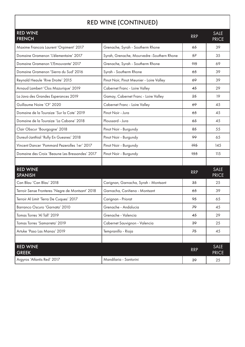# RED WINE (CONTINUED)

| <b>RED WINE</b><br><b>FRENCH</b>                 |                                            | <b>RRP</b>     | <b>SALE</b><br><b>PRICE</b> |
|--------------------------------------------------|--------------------------------------------|----------------|-----------------------------|
| Maxime Francois Laurent 'Orpiment' 2017          | Grenache, Syrah - Southerm Rhone           | 65             | 39                          |
| Domaine Gramenon 'L'élementaire' 2017            | Syrah, Grenache, Mourvedre -Southern Rhone | 57             | 35                          |
| Domaine Gramenon 'L'Emouvante' 2017              | Grenache, Syrah - Southerm Rhone           | H <sub>5</sub> | 69                          |
| Domaine Gramenon 'Sierra du Sud' 2016            | Syrah - Southerm Rhone                     | 65             | 39                          |
| Reynald Heaule 'Rive Droite' 2015                | Pinot Noir, Pinot Meunier - Loire Valley   | 69             | 39                          |
| Arnaud Lambert 'Clos Mazurique' 2019             | Cabernet Franc - Loire Valley              | 45             | 29                          |
| La Java des Grandes Esperances 2019              | Gamay, Cabernet Franc - Loire Valley       | 25             | 19                          |
| Guillaume Noire 'CF' 2020                        | Cabernet Franc - Loire Valley              | 69             | 45                          |
| Domaine de la Touraize 'Sur la Cote' 2019        | Pinot Noir - Jura                          | 65             | 45                          |
| Domaine de la Touraize 'La Cabane' 2018          | Ploussard - Jura                           | 65             | 45                          |
| Clair Obscur 'Bourgogne' 2018                    | Pinot Noir - Burgundy                      | 85             | 55                          |
| Dureuil-Janthial 'Rully En Guesnes' 2018         | Pinot Noir - Burgundy                      | 99             | 65                          |
| Vincent Dancer 'Pommard Pezerolles 1 er' 2017    | Pinot Noir - Burgundy                      | $+95$          | 145                         |
| Domaine des Croix 'Beaune Les Bressandes' 2017   | Pinot Noir - Burgundy                      | $+55$          | 115                         |
|                                                  |                                            |                |                             |
| <b>RED WINE</b><br><b>SPANISH</b>                |                                            | <b>RRP</b>     | <b>SALE</b><br><b>PRICE</b> |
| Can Blau 'Can Blau' 2018                         | Carignan, Garnacha, Syrah - Montsant       | 35             | 25                          |
| Terroir Sense Fronteres 'Negre de Montsant' 2018 | Garnacha, Cariñena - Montsant              | 65             | 39                          |
| Terroir Al Limit 'Terra De Cuques' 2017          | Carignan - Priorat                         | 95             | 65                          |
| Barranco Oscuro 'Garnata' 2010                   | Grenache - Andalucia                       | 79             | 45                          |
| Tomas Torres 'Al Tall' 2019                      | Grenache - Valencia                        | 45             | 29                          |
| Tomas Torres 'Samarreta' 2019                    | Cabernet Sauvignon - Valencia              | 39             | 25                          |
| Artuke 'Paso Las Manas' 2019                     | Tempranillo - Rioja                        | 75             | 45                          |
|                                                  |                                            |                |                             |
| <b>RED WINE</b><br><b>GREEK</b>                  |                                            | <b>RRP</b>     | <b>SALE</b><br><b>PRICE</b> |
| Argyros 'Atlantis Red' 2017                      | Mandilaria - Santorini                     | 39             | 25                          |